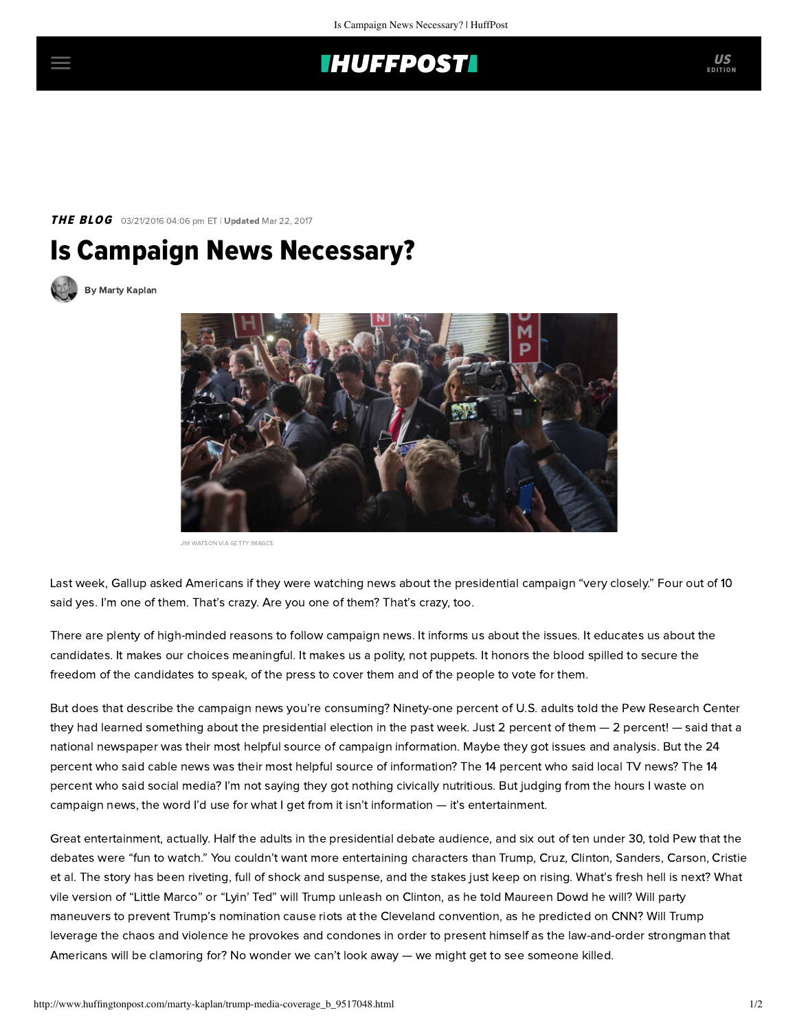## **THUFFPOST**

### **THE BLOG** 03/21/2016 04:06 pm ET | Updated Mar 22, 2017

# Is Campaign News Necessary?





JIM WATSON VIA GETTY IMAGES

Last week, [Gallup](http://www.gallup.com/poll/189299/presidential-election-2016-key-indicators.aspx?version=print#pcf-news) asked Americans if they were watching news about the presidential campaign "very closely." Four out of 10 said yes. I'm one of them. That's crazy. Are you one of them? That's crazy, too.

There are plenty of high-minded reasons to follow campaign news. It informs us about the issues. It educates us about the candidates. It makes our choices meaningful. It makes us a polity, not puppets. It honors the blood spilled to secure the freedom of the candidates to speak, of the press to cover them and of the people to vote for them.

But does that describe the campaign news you're consuming? Ninety-one percent of U.S. adults told the [Pew](http://www.journalism.org/2016/02/04/the-2016-presidential-campaign-a-news-event-thats-hard-to-miss/) Research Center they had learned something about the presidential election in the past week. Just 2 percent of them  $-$  2 percent!  $-$  said that a national newspaper was their most helpful source of campaign information. Maybe they got issues and analysis. But the 24 percent who said cable news was their most helpful source of information? The 14 percent who said local TV news? The 14 percent who said social media? I'm not saying they got nothing civically nutritious. But judging from the hours I waste on campaign news, the word I'd use for what I get from it isn't information — it's entertainment.

Great entertainment, actually. Half the adults in the presidential debate audience, and six out of ten under 30, told Pew that the debates were "fun to watch." You couldn't want more entertaining characters than Trump, Cruz, Clinton, Sanders, Carson, Cristie et al. The story has been riveting, full of shock and suspense, and the stakes just keep on rising. What's fresh hell is next? What vile version of "Little Marco" or "Lyin' Ted" will Trump unleash on Clinton, as he [told](http://www.nytimes.com/2016/03/20/opinion/sunday/will-trump-be-dumped.html?_r=1) Maureen Dowd he will? Will party maneuvers to prevent Trump's nomination cause riots at the Cleveland convention, as he [predicted](http://www.cnn.com/2016/03/16/politics/donald-trump-ted-cruz-brokered-convention/) on CNN? Will Trump leverage the chaos and violence he provokes and condones in order to present himself as the law-and-order strongman that Americans will be clamoring for? No wonder we can't look away — we might get to see someone killed.